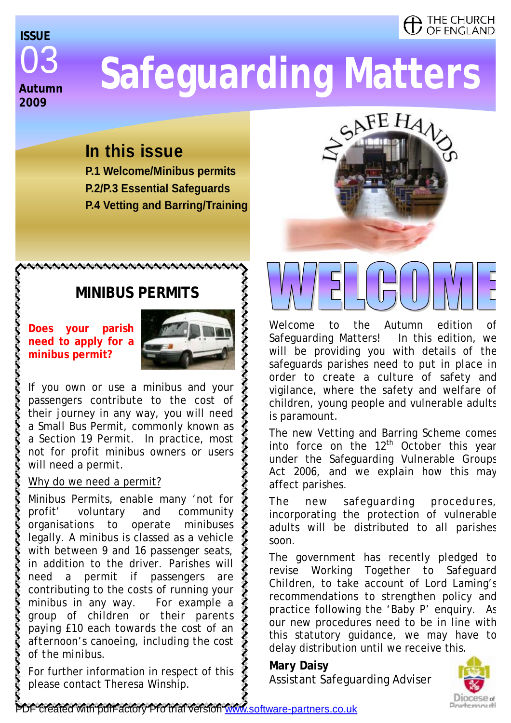### THE CHURCH OF ENGLAND

## 03 **Autumn 2009 ISSUE**

# **Safeguarding Matters**

### **In this issue**

**P.1 Welcome/Minibus permits P.2/P.3 Essential Safeguards P.4 Vetting and Barring/Training** 

### **MINIBUS PERMITS**

**Does your parish need to apply for a minibus permit?** 



If you own or use a minibus and your passengers contribute to the cost of their journey in any way, you will need a Small Bus Permit, commonly known as a Section 19 Permit. In practice, most not for profit minibus owners or users will need a permit.

### Why do we need a permit?

Minibus Permits, enable many 'not for profit' voluntary and community organisations to operate minibuses legally. A minibus is classed as a vehicle with between 9 and 16 passenger seats, in addition to the driver. Parishes will need a permit if passengers are contributing to the costs of running your minibus in any way. *For example a group of children or their parents paying £10 each towards the cost of an afternoon's canoeing, including the cost of the minibus.* 

For further information in respect of this please contact Theresa Winship.



Welcome to the Autumn edition Safeguarding Matters! In this edition, we will be providing you with details of the safeguards parishes need to put in place in order to create a culture of safety and vigilance, where the safety and welfare of children, young people and vulnerable adults is paramount.

The new Vetting and Barring Scheme comes into force on the  $12<sup>th</sup>$  October this year under the Safeguarding Vulnerable Groups Act 2006, and we explain how this may affect parishes.

The new safeguarding procedures, incorporating the protection of vulnerable adults will be distributed to all parishes soon.

The government has recently pledged to revise *Working Together to Safeguard Children*, to take account of Lord Laming's recommendations to strengthen policy and practice following the 'Baby P' enquiry. As our new procedures need to be in line with this statutory guidance, we may have to delay distribution until we receive this.

**Mary Daisy**  Assistant Safeguarding Adviser

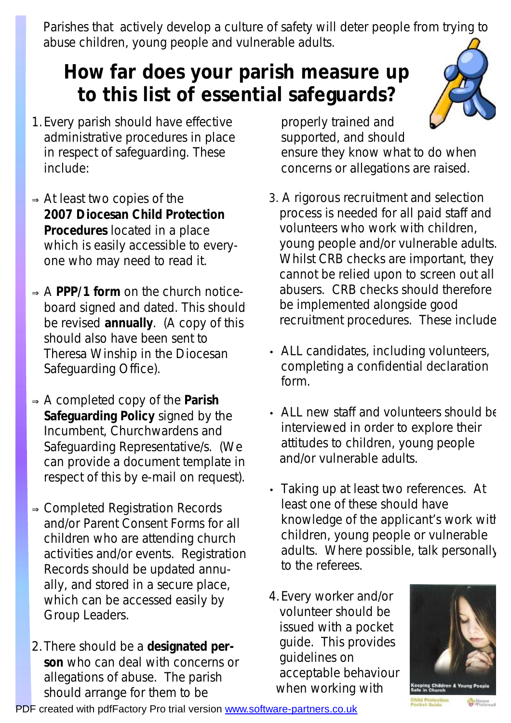Parishes that actively develop a culture of safety will deter people from trying to abuse children, young people and vulnerable adults.

# **How far does your parish measure up to this list of essential safeguards?**

- 1.Every parish should have effective administrative procedures in place in respect of safeguarding. These include:
- <sup>⇒</sup>At least two copies of the **2007 Diocesan Child Protection Procedures** located in a place which is easily accessible to everyone who may need to read it.
- <sup>⇒</sup>A **PPP/1 form** on the church noticeboard signed and dated. This should be revised **annually**. (A copy of this should also have been sent to Theresa Winship in the Diocesan Safeguarding Office).
- <sup>⇒</sup>A completed copy of the **Parish Safeguarding Policy** signed by the Incumbent, Churchwardens and Safeguarding Representative/s. (We can provide a document template in respect of this by e-mail on request).
- <sup>⇒</sup>Completed Registration Records and/or Parent Consent Forms for all children who are attending church activities and/or events. Registration Records should be updated annually, and stored in a secure place, which can be accessed easily by Group Leaders.
- 2.There should be a **designated person** who can deal with concerns or allegations of abuse. The parish should arrange for them to be

properly trained and supported, and should ensure they know what to do when concerns or allegations are raised.

- 3. A rigorous recruitment and selection process is needed for all paid staff and volunteers who work with children, young people and/or vulnerable adults. Whilst CRB checks are important, they cannot be relied upon to screen out all abusers. CRB checks should therefore be implemented alongside good recruitment procedures. These include:
- ALL candidates, including volunteers, completing a confidential declaration form.
- ALL new staff and volunteers should be interviewed in order to explore their attitudes to children, young people and/or vulnerable adults.
- Taking up at least two references. At least one of these should have knowledge of the applicant's work with children, young people or vulnerable adults. Where possible, talk personally to the referees.
- 4.Every worker and/or volunteer should be issued with a pocket guide. This provides guidelines on acceptable behaviour when working with



PDF created with pdfFactory Pro trial version [www.software-partners.co.uk](http://www.software-partners.co.uk)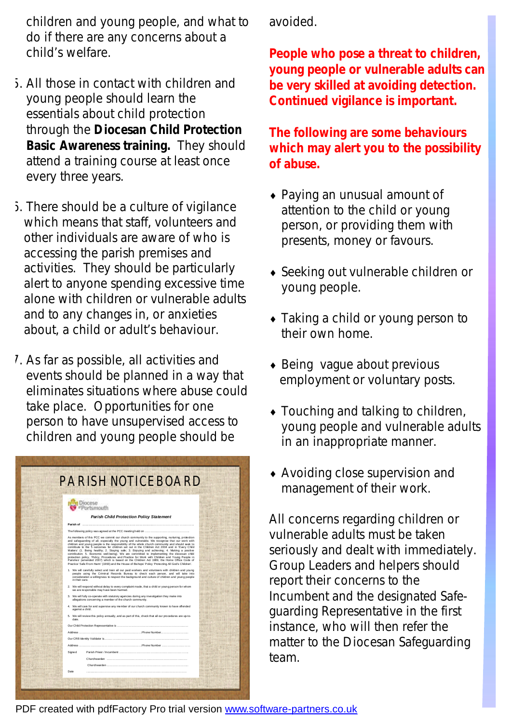children and young people, and what to do if there are any concerns about a child's welfare.

- 5. All those in contact with children and young people should learn the essentials about child protection through the **Diocesan Child Protection Basic Awareness training.** They should attend a training course at least once every three years.
- 6. There should be a culture of vigilance which means that staff, volunteers and other individuals are aware of who is accessing the parish premises and activities. They should be particularly alert to anyone spending excessive time alone with children or vulnerable adults and to any changes in, or anxieties about, a child or adult's behaviour.
- 7. As far as possible, all activities and events should be planned in a way that eliminates situations where abuse could take place. Opportunities for one person to have unsupervised access to children and young people should be

| tsmouth                                                                                                                                                                                                                                                                                                                                                                                                                                                                                                                                                                                                                                                                                                                                                                                                                                                                                                  |  |
|----------------------------------------------------------------------------------------------------------------------------------------------------------------------------------------------------------------------------------------------------------------------------------------------------------------------------------------------------------------------------------------------------------------------------------------------------------------------------------------------------------------------------------------------------------------------------------------------------------------------------------------------------------------------------------------------------------------------------------------------------------------------------------------------------------------------------------------------------------------------------------------------------------|--|
| <b>Parish Child Protection Policy Statement</b>                                                                                                                                                                                                                                                                                                                                                                                                                                                                                                                                                                                                                                                                                                                                                                                                                                                          |  |
| Parish of                                                                                                                                                                                                                                                                                                                                                                                                                                                                                                                                                                                                                                                                                                                                                                                                                                                                                                |  |
|                                                                                                                                                                                                                                                                                                                                                                                                                                                                                                                                                                                                                                                                                                                                                                                                                                                                                                          |  |
| As members of this PCC we commit our church community to the supporting, nurturing, protection<br>and safeguarding of all, especially the young and vulnerable. We recognise that our work with<br>children and voung people is the responsibility of the whole church community and should seek to<br>contribute to the 5 outcomes for children set out in the Children Act 2004 and in 'Every Child<br>Matters' (1. Being healthy; 2. Staying safe; 3. Enjoying and achieving; 4. Making a positive<br>contribution; 5. Economic well-being). We are committed to implementing the diocesan child<br>protection policy. 'Policy, Procedures and Practice for Work with Children and Young People in<br>Parishes' (amended 2007) which is based on the Children Act 1989, the Home Office Code of<br>Practice 'Safe From Harm' (1993) and the House of Bishops' Policy 'Protecting All God's Children'. |  |
| 1. We will carefully select and train all our paid workers and volunteers with children and young<br>people using the Criminal Records Bureau to check each person, and will take into<br>consideration a willingness to respect the background and culture of children and young people<br>in their care                                                                                                                                                                                                                                                                                                                                                                                                                                                                                                                                                                                                |  |
| 2. We will respond without delay to every complaint made, that a child or youn g person for whom<br>we are responsible may have been harmed.                                                                                                                                                                                                                                                                                                                                                                                                                                                                                                                                                                                                                                                                                                                                                             |  |
| 3. We will fully co-operate with statutory agencies during any investigation they make into<br>allegations concerning a member of the church community.                                                                                                                                                                                                                                                                                                                                                                                                                                                                                                                                                                                                                                                                                                                                                  |  |
| 4. We will care for and supervise any member of our church community known to have offended<br>against a child.                                                                                                                                                                                                                                                                                                                                                                                                                                                                                                                                                                                                                                                                                                                                                                                          |  |
| 5. We will review this policy annually, and as part of this, check that all our procedures are up-to-<br>etsh                                                                                                                                                                                                                                                                                                                                                                                                                                                                                                                                                                                                                                                                                                                                                                                            |  |
|                                                                                                                                                                                                                                                                                                                                                                                                                                                                                                                                                                                                                                                                                                                                                                                                                                                                                                          |  |
|                                                                                                                                                                                                                                                                                                                                                                                                                                                                                                                                                                                                                                                                                                                                                                                                                                                                                                          |  |
|                                                                                                                                                                                                                                                                                                                                                                                                                                                                                                                                                                                                                                                                                                                                                                                                                                                                                                          |  |
| Address                                                                                                                                                                                                                                                                                                                                                                                                                                                                                                                                                                                                                                                                                                                                                                                                                                                                                                  |  |
| Signed                                                                                                                                                                                                                                                                                                                                                                                                                                                                                                                                                                                                                                                                                                                                                                                                                                                                                                   |  |
|                                                                                                                                                                                                                                                                                                                                                                                                                                                                                                                                                                                                                                                                                                                                                                                                                                                                                                          |  |
|                                                                                                                                                                                                                                                                                                                                                                                                                                                                                                                                                                                                                                                                                                                                                                                                                                                                                                          |  |
|                                                                                                                                                                                                                                                                                                                                                                                                                                                                                                                                                                                                                                                                                                                                                                                                                                                                                                          |  |

avoided.

**People who pose a threat to children, young people or vulnerable adults can be very skilled at avoiding detection. Continued vigilance is important.** 

**The following are some behaviours which may alert you to the possibility of abuse.**

- ♦ Paying an unusual amount of attention to the child or young person, or providing them with presents, money or favours.
- ♦ Seeking out vulnerable children or young people.
- Taking a child or young person to their own home.
- $\bullet$  Being vague about previous employment or voluntary posts.
- $\bullet$  Touching and talking to children, young people and vulnerable adults in an inappropriate manner.
- ♦ Avoiding close supervision and management of their work.

All concerns regarding children or vulnerable adults must be taken seriously and dealt with immediately. Group Leaders and helpers should report their concerns to the Incumbent and the designated Safeguarding Representative in the first instance, who will then refer the matter to the Diocesan Safeguarding team.

PDF created with pdfFactory Pro trial version [www.software-partners.co.uk](http://www.software-partners.co.uk)